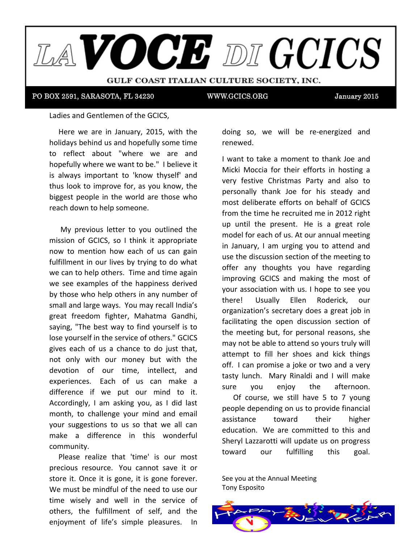

PO BOX 2591, SARASOTA, FL 34230 WWW.GCICS.ORG

January 2015

Ladies and Gentlemen of the GCICS,

Here we are in January, 2015, with the holidays behind us and hopefully some time to reflect about "where we are and  $\frac{1}{2}$ bonofully where we went to be  $\frac{1}{2}$ . It believe it. hopefully where we want to be." I believe it is always important to 'know thyself' and thus look to improve for, as you know, the biggest people in the world are those who reach down to help someone.

 $\mu_{\nu}$  are dependence to the advantages of the  $\mu_{\nu}$ My previous letter to you outlined the mission of GCICS, so I think it appropriate now to mention how each of us can gain fulfillment in our lives by trying to do what  $\frac{1}{2}$  . The 2-month period ratio rather than extending it over a 3-44-4  $\pm$ we can to help others. Time and time again by those who help others in any number of  $t = \frac{1}{2}$ small and large ways. You may recall India's great freedom fighter, Mahatma Gandhi, saying, "The best way to find yourself is to  $\begin{array}{c} \n\hline\n\end{array}$  to do. Please keep in mind that scholarship donations may be considered in  $\hbar$ lose yourself in the service of others." GCICS not only with our money but with the devotion of our time, intellect, and difference if we put our mind to it. Accordingly, I am asking you, as I did last month, to challenge your mind and email your suggestions to us so that we all can make a difference in this wonderful community. we see examples of the happiness derived gives each of us a chance to do just that, experiences. Each of us can make a

Please realize that 'time' is our most Sincerely, We must be mindful of the need to use our precious resource. You cannot save it or store it. Once it is gone, it is gone forever. time wisely and well in the service of others, the fulfillment of self, and the enjoyment of life's simple pleasures. In

doing so, we will be re-energized and renewed. We name and layout. Members will recall that at the second that at the second that at the second that  $\alpha$ 

I want to take a moment to thank Joe and Micki Moccia for their efforts in hosting a one foctive Christmas Darty and also to very festive Christmas Party and also to personally thank Joe for his steady and most deliberate efforts on behalf of GCICS  $\frac{1}{2}$  can the time he recruited me in 2012 right from the time he recruited me in 2012 right up until the present. He is a great role in January, I am urging you to attend and and with a little twenty the Board and what you see the Board and what you see the whole use the discussion section of the meeting to offer any thoughts you have regarding improving GCICS and making the most of  $\frac{1}{2}$  in a shorter time period, example the shorter that  $\frac{1}{2}$  is that the shorter that  $\frac{1}{2}$  is that the shorter that  $\frac{1}{2}$  is the shorter than  $\frac{1}{2}$  is the shorter than  $\frac{1}{2}$  is the shorter than your association with us. I hope to see you organization's secretary does a great job in mittee of Tony Cagliostro, Anthony Espositor, Pat Astore, Pat Astore, Pat Astore, Pat Astore, Pat Astore, Pat <br>Pat Astore, Pat Astore, Pat Astore, Pat Astore, Pat Astore, Pat Astore, Pat Astore, Pat Astore, Pat Astore, Pa facilitating the open discussion section of the meeting but, for personal reasons, she may not be able to attend so yours truly will end<br>attempt to fill her shoes and kick things off. I can promise a joke or two and a very tasty lunch. Mary Rinaldi and I will make sure you enjoy the afternoon. of college life. We plan the published to the publish from the to the to the to the to the to the to the to th model for each of us. At our annual meeting there! Usually Ellen Roderick, our

Of course, we still have 5 to 7 young people depending on us to provide financial eure<br>assistance toward their higher education. We are committed to this and toward  $E$ wara bar fan  $E$ Sheryl Lazzarotti will update us on progress our fulfilling this goal.

2 N. Tamiami Trail, Suite 5000 (Suite 5000 (Suite 5000 (Suite 5000 (Suite 5000 (Suite 5000 (Suite 5000 (Suite See you at the Annual Meeting Tony Esposito

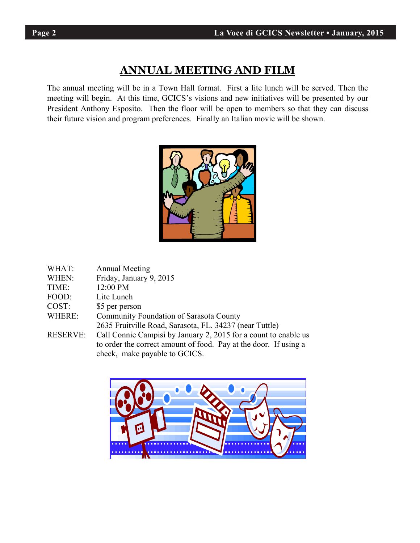# **ANNUAL MEETING AND FILM**

The annual meeting will be in a Town Hall format. First a lite lunch will be served. Then the meeting will begin. At this time, GCICS's visions and new initiatives will be presented by our President Anthony Esposito. Then the floor will be open to members so that they can discuss their future vision and program preferences. Finally an Italian movie will be shown.



| WHAT:           | <b>Annual Meeting</b>                                            |
|-----------------|------------------------------------------------------------------|
| WHEN:           | Friday, January 9, 2015                                          |
| TIME:           | 12:00 PM                                                         |
| FOOD:           | Lite Lunch                                                       |
| COST:           | \$5 per person                                                   |
| WHERE:          | Community Foundation of Sarasota County                          |
|                 | 2635 Fruitville Road, Sarasota, FL. 34237 (near Tuttle)          |
| <b>RESERVE:</b> | Call Connie Campisi by January 2, 2015 for a count to enable us  |
|                 | to order the correct amount of food. Pay at the door. If using a |
|                 | check, make payable to GCICS.                                    |
|                 |                                                                  |



٦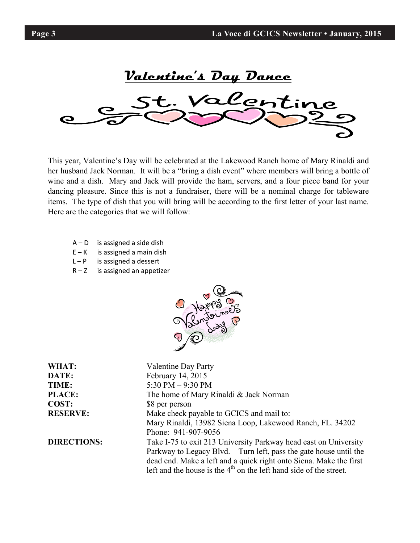**Valentine's Day Dance**  alent

This year, Valentine's Day will be celebrated at the Lakewood Ranch home of Mary Rinaldi and her husband Jack Norman. It will be a "bring a dish event" where members will bring a bottle of wine and a dish. Mary and Jack will provide the ham, servers, and a four piece band for your dancing pleasure. Since this is not a fundraiser, there will be a nominal charge for tableware items. The type of dish that you will bring will be according to the first letter of your last name. Here are the categories that we will follow:

- $A D$  is assigned a side dish
- $E K$  is assigned a main dish
- $L P$  is assigned a dessert
- $R Z$  is assigned an appetizer



| WHAT:<br><b>Valentine Day Party</b>                                                    |  |  |  |
|----------------------------------------------------------------------------------------|--|--|--|
| February 14, 2015<br>DATE:                                                             |  |  |  |
| 5:30 PM $-9:30$ PM<br>TIME:                                                            |  |  |  |
| <b>PLACE:</b><br>The home of Mary Rinaldi & Jack Norman                                |  |  |  |
| COST:<br>\$8 per person                                                                |  |  |  |
| Make check payable to GCICS and mail to:<br><b>RESERVE:</b>                            |  |  |  |
| Mary Rinaldi, 13982 Siena Loop, Lakewood Ranch, FL. 34202                              |  |  |  |
| Phone: 941-907-9056                                                                    |  |  |  |
| <b>DIRECTIONS:</b><br>Take I-75 to exit 213 University Parkway head east on University |  |  |  |
| Parkway to Legacy Blvd. Turn left, pass the gate house until the                       |  |  |  |
| dead end. Make a left and a quick right onto Siena. Make the first                     |  |  |  |
| left and the house is the $4th$ on the left hand side of the street.                   |  |  |  |

٦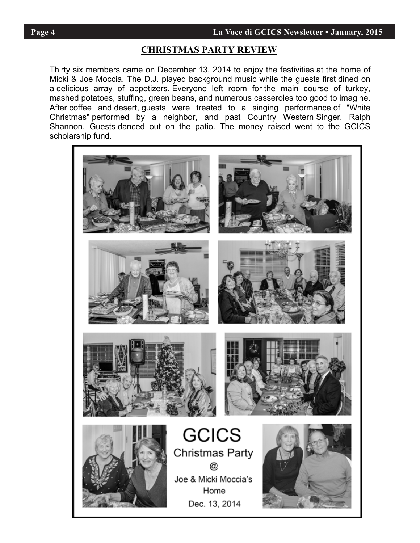# **Page 4** La Voce di GCICS Newsletter • January, 2015

### **CHRISTMAS PARTY REVIEW**

member of soc moccial rife D.S. played background masic while the gacats instrumed on<br>a delicious array of appetizers. Everyone left room for the main course of turkey, a deficious anay or appenzers. Everyone feat four for the firam course or takey, mashed potatoes, stuffing, green beans, and numerous casseroles too good to imagine. mashed potatoes, stannig, green beans, and hamerous casseroles too good to imagine.<br>After coffee and desert, guests were treated to a singing performance of "White After corree and desert, guests were treated to a singing performance of writter<br>Christmas" performed by a neighbor, and past Country Western Singer, Ralph University performed by a neighbor, and past Country victorin oniger, inalphi-<br>Channon, Cuests densed out an the notio. The maneu reject went to the COICO Shannon. Guests danced out on the patio. The money raised went to the GCICS ashelorship fund Thirty six members came on December 13, 2014 to enjoy the festivities at the home of Micki & Joe Moccia. The D.J. played background music while the guests first dined on scholarship fund.

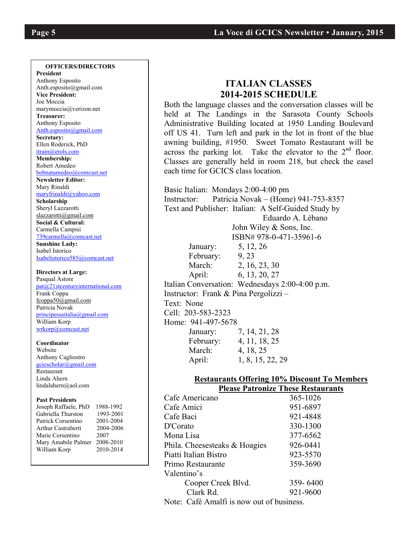#### **OFFICERS/DIRECTORS**

**President**  Anthony Esposito Anth.esposito@gmail.com **Vice President:** Joe Moccia marymoccia@verizon.net **Treasurer:**  Anthony Esposito Anth.esposito@gmail.com **Secretary:**  Ellen Roderick, PhD itrain@erols.com **Membership:** Robert Amedeo bobnatamedeo@comcast.net **Newsletter Editor:** Mary Rinaldi maryfrinaldi@yahoo.com **Scholarship**  Sheryl Lazzarotti slazzarotti@gmail.com **Social & Cultural:** Carmella Campisi 739carmella@comcast.net **Sunshine Lady:**  Isabel Istorico Isabelistorico585@comcast.net

#### **Directors at Large:**  Pasqual Astore pat@21stcenturyinternational.com Frank Coppa fcoppa50@gmail.com Patricia Novak principessaitalia@gmail.com William Korp wrkorp@comcast.net

**Coordinator** Website Anthony Cagliostro gcicscholar@gmail.com Restaurant Linda Ahern lindalahern@aol.com

#### **Past Presidents**

| Joseph Raffaele, PhD | 1988-1992 |
|----------------------|-----------|
| Gabriella Thurston   | 1993-2001 |
| Patrick Corsentino   | 2001-2004 |
| Arthur Castraberti   | 2004-2006 |
| Marie Corsentino     | 2007      |
| Mary Amabile Palmer  | 2008-2010 |
| William Korp         | 2010-2014 |
|                      |           |

## **ITALIAN CLASSES 2014-2015 SCHEDULE**

Both the language classes and the conversation classes will be held at The Landings in the Sarasota County Schools Administrative Building located at 1950 Landing Boulevard off US 41. Turn left and park in the lot in front of the blue awning building, #1950. Sweet Tomato Restaurant will be across the parking lot. Take the elevator to the  $2<sup>nd</sup>$  floor. Classes are generally held in room 218, but check the easel each time for GCICS class location.

Basic Italian: Mondays 2:00-4:00 pm Instructor: Patricia Novak – (Home) 941-753-8357 Text and Publisher: Italian: A Self-Guided Study by Eduardo A. Lèbano John Wiley & Sons, Inc. ISBN# 978-0-471-35961-6 January: 5, 12, 26 February: 9, 23 March: 2, 16, 23, 30 April: 6, 13, 20, 27 Italian Conversation: Wednesdays 2:00-4:00 p.m. Instructor: Frank & Pina Pergolizzi – Text: None Cell: 203-583-2323 Home: 941-497-5678 January: 7, 14, 21, 28 February: 4, 11, 18, 25 March: 4, 18, 25

#### **Restaurants Offering 10% Discount To Members Please Patronize These Restaurants**

| Cafe Americano                                                                                                                                              | 365-1026 |  |  |
|-------------------------------------------------------------------------------------------------------------------------------------------------------------|----------|--|--|
| Cafe Amici                                                                                                                                                  | 951-6897 |  |  |
| Cafe Baci                                                                                                                                                   | 921-4848 |  |  |
| D'Corato                                                                                                                                                    | 330-1300 |  |  |
| Mona Lisa                                                                                                                                                   | 377-6562 |  |  |
| Phila. Cheesesteaks & Hoagies                                                                                                                               | 926-0441 |  |  |
| Piatti Italian Bistro                                                                                                                                       | 923-5570 |  |  |
| Primo Restaurante                                                                                                                                           | 359-3690 |  |  |
| Valentino's                                                                                                                                                 |          |  |  |
| Cooper Creek Blvd.                                                                                                                                          | 359-6400 |  |  |
| Clark Rd.                                                                                                                                                   | 921-9600 |  |  |
| $\mathbf{M}_{\text{min}}$ $\mathbf{C}_{\text{min}}$ $\mathbf{C}_{\text{min}}$ $\mathbf{M}_{\text{min}}$ $\mathbf{M}_{\text{min}}$ $\mathbf{M}_{\text{min}}$ |          |  |  |

April: 1, 8, 15, 22, 29

Note: Café Amalfi is now out of business.

٦